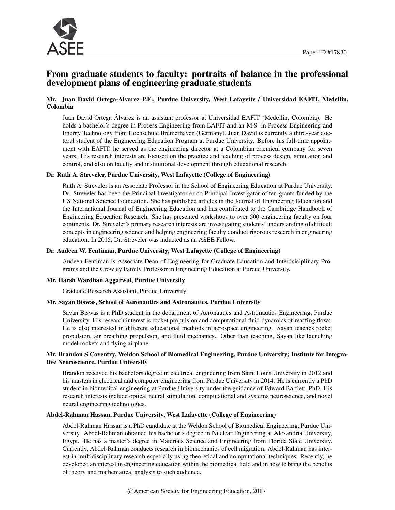

## From graduate students to faculty: portraits of balance in the professional development plans of engineering graduate students

#### Mr. Juan David Ortega-Alvarez P.E., Purdue University, West Lafayette / Universidad EAFIT, Medellin, Colombia

Juan David Ortega Alvarez is an assistant professor at Universidad EAFIT (Medellin, Colombia). He ´ holds a bachelor's degree in Process Engineering from EAFIT and an M.S. in Process Engineering and Energy Technology from Hochschule Bremerhaven (Germany). Juan David is currently a third-year doctoral student of the Engineering Education Program at Purdue University. Before his full-time appointment with EAFIT, he served as the engineering director at a Colombian chemical company for seven years. His research interests are focused on the practice and teaching of process design, simulation and control, and also on faculty and institutional development through educational research.

#### Dr. Ruth A. Streveler, Purdue University, West Lafayette (College of Engineering)

Ruth A. Streveler is an Associate Professor in the School of Engineering Education at Purdue University. Dr. Streveler has been the Principal Investigator or co-Principal Investigator of ten grants funded by the US National Science Foundation. She has published articles in the Journal of Engineering Education and the International Journal of Engineering Education and has contributed to the Cambridge Handbook of Engineering Education Research. She has presented workshops to over 500 engineering faculty on four continents. Dr. Streveler's primary research interests are investigating students' understanding of difficult concepts in engineering science and helping engineering faculty conduct rigorous research in engineering education. In 2015, Dr. Streveler was inducted as an ASEE Fellow.

#### Dr. Audeen W. Fentiman, Purdue University, West Lafayette (College of Engineering)

Audeen Fentiman is Associate Dean of Engineering for Graduate Education and Interdsiciplinary Programs and the Crowley Family Professor in Engineering Education at Purdue University.

#### Mr. Harsh Wardhan Aggarwal, Purdue University

Graduate Research Assistant, Purdue University

#### Mr. Sayan Biswas, School of Aeronautics and Astronautics, Purdue University

Sayan Biswas is a PhD student in the department of Aeronautics and Astronautics Engineering, Purdue University. His research interest is rocket propulsion and computational fluid dynamics of reacting flows. He is also interested in different educational methods in aerospace engineering. Sayan teaches rocket propulsion, air breathing propulsion, and fluid mechanics. Other than teaching, Sayan like launching model rockets and flying airplane.

#### Mr. Brandon S Coventry, Weldon School of Biomedical Engineering, Purdue University; Institute for Integrative Neuroscience, Purdue University

Brandon received his bachelors degree in electrical engineering from Saint Louis University in 2012 and his masters in electrical and computer engineering from Purdue University in 2014. He is currently a PhD student in biomedical engineering at Purdue University under the guidance of Edward Bartlett, PhD. His research interests include optical neural stimulation, computational and systems neuroscience, and novel neural engineering technologies.

#### Abdel-Rahman Hassan, Purdue University, West Lafayette (College of Engineering)

Abdel-Rahman Hassan is a PhD candidate at the Weldon School of Biomedical Engineering, Purdue University. Abdel-Rahman obtained his bachelor's degree in Nuclear Engineering at Alexandria University, Egypt. He has a master's degree in Materials Science and Engineering from Florida State University. Currently, Abdel-Rahman conducts research in biomechanics of cell migration. Abdel-Rahman has interest in multidisciplinary research especially using theoretical and computational techniques. Recently, he developed an interest in engineering education within the biomedical field and in how to bring the benefits of theory and mathematical analysis to such audience.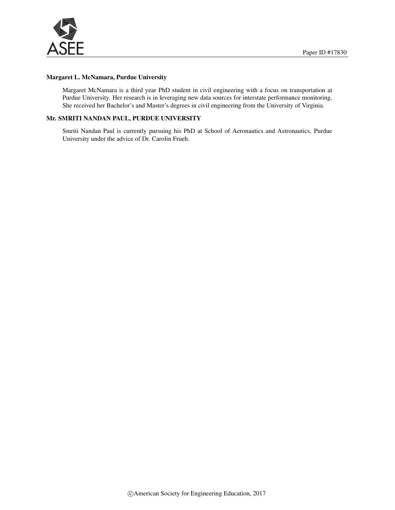

#### Margaret L. McNamara, Purdue University

Margaret McNamara is a third year PhD student in civil engineering with a focus on transportation at Purdue University. Her research is in leveraging new data sources for interstate performance monitoring. She received her Bachelor's and Master's degrees in civil engineering from the University of Virginia.

#### Mr. SMRITI NANDAN PAUL, PURDUE UNIVERSITY

Smriti Nandan Paul is currently pursuing his PhD at School of Aeronautics and Astronautics, Purdue University under the advice of Dr. Carolin Frueh.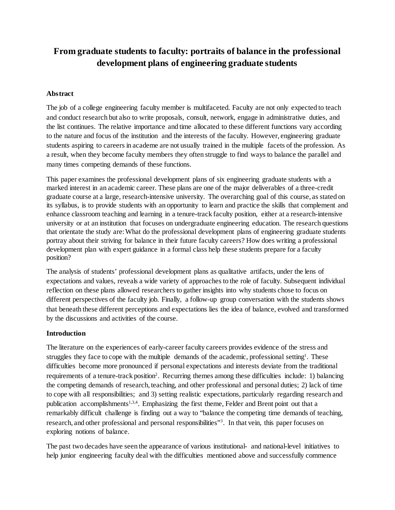# **From graduate students to faculty: portraits of balance in the professional development plans of engineering graduate students**

### **Abstract**

The job of a college engineering faculty member is multifaceted. Faculty are not only expected to teach and conduct research but also to write proposals, consult, network, engage in administrative duties, and the list continues. The relative importance and time allocated to these different functions vary according to the nature and focus of the institution and the interests of the faculty. However, engineering graduate students aspiring to careers in academe are not usually trained in the multiple facets of the profession. As a result, when they become faculty members they often struggle to find ways to balance the parallel and many times competing demands of these functions.

This paper examines the professional development plans of six engineering graduate students with a marked interest in an academic career. These plans are one of the major deliverables of a three-credit graduate course at a large, research-intensive university. The overarching goal of this course, as stated on its syllabus, is to provide students with an opportunity to learn and practice the skills that complement and enhance classroom teaching and learning in a tenure-track faculty position, either at a research-intensive university or at an institution that focuses on undergraduate engineering education. The research questions that orientate the study are: What do the professional development plans of engineering graduate students portray about their striving for balance in their future faculty careers? How does writing a professional development plan with expert guidance in a formal class help these students prepare for a faculty position?

The analysis of students' professional development plans as qualitative artifacts, under the lens of expectations and values, reveals a wide variety of approaches to the role of faculty. Subsequent individual reflection on these plans allowed researchers to gather insights into why students chose to focus on different perspectives of the faculty job. Finally, a follow-up group conversation with the students shows that beneath these different perceptions and expectations lies the idea of balance, evolved and transformed by the discussions and activities of the course.

#### **Introduction**

The literature on the experiences of early-career faculty careers provides evidence of the stress and struggles they face to cope with the multiple demands of the academic, professional setting<sup>1</sup>. These difficulties become more pronounced if personal expectations and interests deviate from the traditional requirements of a tenure-track position<sup>2</sup>. Recurring themes among these difficulties include: 1) balancing the competing demands of research, teaching, and other professional and personal duties; 2) lack of time to cope with all responsibilities; and 3) setting realistic expectations, particularly regarding research and publication accomplishments<sup>1,3,4</sup>. Emphasizing the first theme, Felder and Brent point out that a remarkably difficult challenge is finding out a way to "balance the competing time demands of teaching, research, and other professional and personal responsibilities"<sup>3</sup>. In that vein, this paper focuses on exploring notions of balance.

The past two decades have seen the appearance of various institutional- and national-level initiatives to help junior engineering faculty deal with the difficulties mentioned above and successfully commence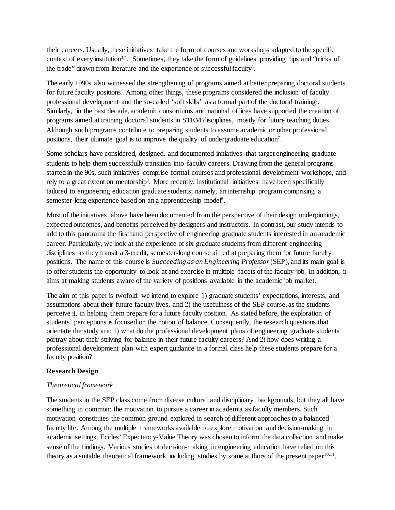their careers. Usually, these initiatives take the form of courses and workshops adapted to the specific context of every institution3,4. Sometimes, they take the form of guidelines providing tips and "tricks of the trade" drawn from literature and the experience of successful faculty<sup>5</sup>.

The early 1990s also witnessed the strengthening of programs aimed at better preparing doctoral students for future faculty positions. Among other things, these programs considered the inclusion of faculty professional development and the so-called 'soft skills' as a formal part of the doctoral training<sup>6</sup>. Similarly, in the past decade, academic consortiums and national offices have supported the creation of programs aimed at training doctoral students in STEM disciplines, mostly for future teaching duties. Although such programs contribute to preparing students to assume academic or other professional positions, their ultimate goal is to improve the quality of undergraduate education<sup>7</sup>.

Some scholars have considered, designed, and documented initiatives that target engineering graduate students to help them successfully transition into faculty careers. Drawing from the general programs started in the 90s, such initiatives comprise formal courses and professional development workshops, and rely to a great extent on mentorship<sup>3</sup>. More recently, institutional initiatives have been specifically tailored to engineering education graduate students; namely, an internship program comprising a semester-long experience based on an a apprenticeship model<sup>8</sup>.

Most of the initiatives above have been documented from the perspective of their design underpinnings, expected outcomes, and benefits perceived by designers and instructors. In contrast, our study intends to add to this panorama the firsthand perspective of engineering graduate students interested in an academic career. Particularly, we look at the experience of six graduate students from different engineering disciplines as they transit a 3-credit, semester-long course aimed at preparing them for future faculty positions. The name of this course is *Succeeding as an Engineering Professor*(SEP), and its main goal is to offer students the opportunity to look at and exercise in multiple facets of the faculty job. In addition, it aims at making students aware of the variety of positions available in the academic job market.

The aim of this paper is twofold: we intend to explore 1) graduate students' expectations, interests, and assumptions about their future faculty lives, and 2) the usefulness of the SEP course, as the students perceive it, in helping them prepare for a future faculty position. As stated before, the exploration of students' perceptions is focused on the notion of balance. Consequently, the research questions that orientate the study are: 1) what do the professional development plans of engineering graduate students portray about their striving for balance in their future faculty careers? And 2) how does writing a professional development plan with expert guidance in a formal class help these students prepare for a faculty position?

#### **Research Design**

### *Theoretical framework*

The students in the SEP class come from diverse cultural and disciplinary backgrounds, but they all have something in common: the motivation to pursue a career in academia as faculty members. Such motivation constitutes the common ground explored in search of different approaches to a balanced faculty life. Among the multiple frameworks available to explore motivation and decision-making in academic settings, Eccles' Expectancy-Value Theory was chosen to inform the data collection and make sense of the findings. Various studies of decision-making in engineering education have relied on this theory as a suitable theoretical framework, including studies by some authors of the present paper $10,11$ .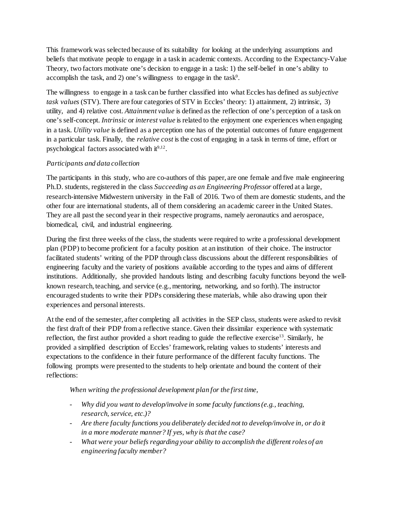This framework was selected because of its suitability for looking at the underlying assumptions and beliefs that motivate people to engage in a task in academic contexts. According to the Expectancy-Value Theory, two factors motivate one's decision to engage in a task: 1) the self-belief in one's ability to accomplish the task, and 2) one's willingness to engage in the task<sup>9</sup>.

The willingness to engage in a task can be further classified into what Eccles has defined as *subjective task values* (STV). There are four categories of STV in Eccles' theory: 1) attainment, 2) intrinsic, 3) utility, and 4) relative cost. *Attainment value* is defined as the reflection of one's perception of a task on one's self-concept. *Intrinsic* or *interest value* is related to the enjoyment one experiences when engaging in a task. *Utility value* is defined as a perception one has of the potential outcomes of future engagement in a particular task. Finally, the *relative cost* is the cost of engaging in a task in terms of time, effort or psychological factors associated with  $it<sup>9,12</sup>$ .

### *Participants and data collection*

The participants in this study, who are co-authors of this paper, are one female and five male engineering Ph.D. students, registered in the class *Succeeding as an Engineering Professor* offered at a large, research-intensive Midwestern university in the Fall of 2016. Two of them are domestic students, and the other four are international students, all of them considering an academic career in the United States. They are all past the second year in their respective programs, namely aeronautics and aerospace, biomedical, civil, and industrial engineering.

During the first three weeks of the class, the students were required to write a professional development plan (PDP) to become proficient for a faculty position at an institution of their choice. The instructor facilitated students' writing of the PDP through class discussions about the different responsibilities of engineering faculty and the variety of positions available according to the types and aims of different institutions. Additionally, she provided handouts listing and describing faculty functions beyond the wellknown research, teaching, and service (e.g., mentoring, networking, and so forth). The instructor encouraged students to write their PDPs considering these materials, while also drawing upon their experiences and personal interests.

At the end of the semester, after completing all activities in the SEP class, students were asked to revisit the first draft of their PDP from a reflective stance. Given their dissimilar experience with systematic reflection, the first author provided a short reading to guide the reflective exercise13. Similarly, he provided a simplified description of Eccles' framework, relating values to students' interests and expectations to the confidence in their future performance of the different faculty functions. The following prompts were presented to the students to help orientate and bound the content of their reflections:

*When writing the professional development plan for the first time,*

- *Why did you want to develop/involve in some faculty functions (e.g., teaching, research, service, etc.)?*
- *Are there faculty functions you deliberately decided not to develop/involve in, or do it in a more moderate manner? If yes, why is that the case?*
- *What were your beliefs regarding your ability to accomplish the different roles of an engineering faculty member?*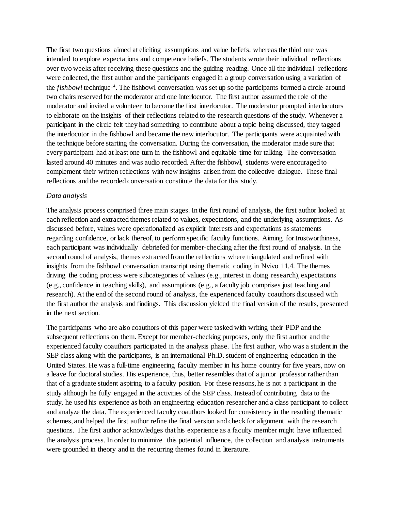The first two questions aimed at eliciting assumptions and value beliefs, whereas the third one was intended to explore expectations and competence beliefs. The students wrote their individual reflections over two weeks after receiving these questions and the guiding reading. Once all the individual reflections were collected, the first author and the participants engaged in a group conversation using a variation of the *fishbowl* technique14. The fishbowl conversation was set up so the participants formed a circle around two chairs reserved for the moderator and one interlocutor. The first author assumed the role of the moderator and invited a volunteer to become the first interlocutor. The moderator prompted interlocutors to elaborate on the insights of their reflections related to the research questions of the study. Whenever a participant in the circle felt they had something to contribute about a topic being discussed, they tagged the interlocutor in the fishbowl and became the new interlocutor. The participants were acquainted with the technique before starting the conversation. During the conversation, the moderator made sure that every participant had at least one turn in the fishbowl and equitable time for talking. The conversation lasted around 40 minutes and was audio recorded. After the fishbowl, students were encouraged to complement their written reflections with new insights arisen from the collective dialogue. These final reflections and the recorded conversation constitute the data for this study.

#### *Data analysis*

The analysis process comprised three main stages. In the first round of analysis, the first author looked at each reflection and extracted themes related to values, expectations, and the underlying assumptions. As discussed before, values were operationalized as explicit interests and expectations as statements regarding confidence, or lack thereof, to perform specific faculty functions. Aiming for trustworthiness, each participant was individually debriefed for member-checking after the first round of analysis. In the second round of analysis, themes extracted from the reflections where triangulated and refined with insights from the fishbowl conversation transcript using thematic coding in Nvivo 11.4. The themes driving the coding process were subcategories of values (e.g., interest in doing research), expectations (e.g., confidence in teaching skills), and assumptions (e.g., a faculty job comprises just teaching and research). At the end of the second round of analysis, the experienced faculty coauthors discussed with the first author the analysis and findings. This discussion yielded the final version of the results, presented in the next section.

The participants who are also coauthors of this paper were tasked with writing their PDP and the subsequent reflections on them. Except for member-checking purposes, only the first author and the experienced faculty coauthors participated in the analysis phase. The first author, who was a student in the SEP class along with the participants, is an international Ph.D. student of engineering education in the United States. He was a full-time engineering faculty member in his home country for five years, now on a leave for doctoral studies. His experience, thus, better resembles that of a junior professor rather than that of a graduate student aspiring to a faculty position. For these reasons, he is not a participant in the study although he fully engaged in the activities of the SEP class. Instead of contributing data to the study, he used his experience as both an engineering education researcher and a class participant to collect and analyze the data. The experienced faculty coauthors looked for consistency in the resulting thematic schemes, and helped the first author refine the final version and check for alignment with the research questions. The first author acknowledges that his experience as a faculty member might have influenced the analysis process. In order to minimize this potential influence, the collection and analysis instruments were grounded in theory and in the recurring themes found in literature.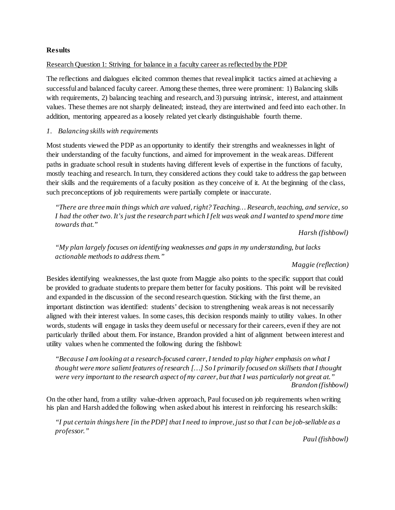#### **Results**

#### Research Question 1: Striving for balance in a faculty career as reflected by the PDP

The reflections and dialogues elicited common themes that reveal implicit tactics aimed at achieving a successful and balanced faculty career. Among these themes, three were prominent: 1) Balancing skills with requirements, 2) balancing teaching and research, and 3) pursuing intrinsic, interest, and attainment values. These themes are not sharply delineated; instead, they are intertwined and feed into each other. In addition, mentoring appeared as a loosely related yet clearly distinguishable fourth theme.

#### *1. Balancing skills with requirements*

Most students viewed the PDP as an opportunity to identify their strengths and weaknesses in light of their understanding of the faculty functions, and aimed for improvement in the weak areas. Different paths in graduate school result in students having different levels of expertise in the functions of faculty, mostly teaching and research. In turn, they considered actions they could take to address the gap between their skills and the requirements of a faculty position as they conceive of it. At the beginning of the class, such preconceptions of job requirements were partially complete or inaccurate.

*"There are three main things which are valued, right? Teaching… Research, teaching, and service, so I had the other two. It's just the research part which I felt was weak and I wanted to spend more time towards that."* 

*Harsh (fishbowl)*

*"My plan largely focuses on identifying weaknesses and gaps in my understanding, but lacks actionable methods to address them."*

#### *Maggie (reflection)*

Besides identifying weaknesses, the last quote from Maggie also points to the specific support that could be provided to graduate students to prepare them better for faculty positions. This point will be revisited and expanded in the discussion of the second research question. Sticking with the first theme, an important distinction was identified: students' decision to strengthening weak areas is not necessarily aligned with their interest values. In some cases, this decision responds mainly to utility values. In other words, students will engage in tasks they deem useful or necessary for their careers, even if they are not particularly thrilled about them. For instance, Brandon provided a hint of alignment between interest and utility values when he commented the following during the fishbowl:

*"Because I am looking at a research-focused career, I tended to play higher emphasis on what I thought were more salient features of research […] So I primarily focused on skillsets that I thought were very important to the research aspect of my career, but that I was particularly not great at." Brandon (fishbowl)*

On the other hand, from a utility value-driven approach, Paul focused on job requirements when writing his plan and Harsh added the following when asked about his interest in reinforcing his research skills:

*"I put certain things here [in the PDP] that I need to improve, just so that I can be job-sellable as a professor."*

*Paul (fishbowl)*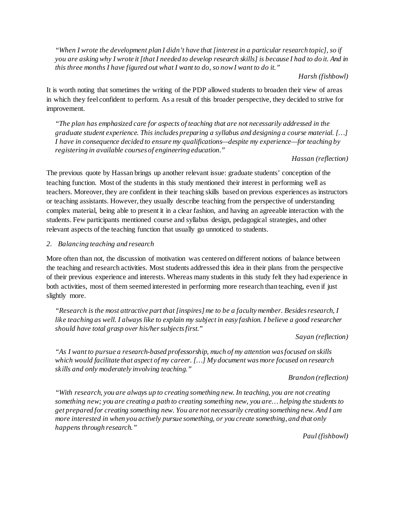*"When I wrote the development plan I didn't have that [interest in a particular research topic], so if you are asking why I wrote it [that I needed to develop research skills] is because I had to do it. And in this three months I have figured out what I want to do, so now I want to do it."*

#### *Harsh (fishbowl)*

It is worth noting that sometimes the writing of the PDP allowed students to broaden their view of areas in which they feel confident to perform. As a result of this broader perspective, they decided to strive for improvement.

*"The plan has emphasized care for aspects of teaching that are not necessarily addressed in the graduate student experience. This includes preparing a syllabus and designing a course material. […] I have in consequence decided to ensure my qualifications—despite my experience—for teaching by registering in available courses of engineering education."*

### *Hassan (reflection)*

The previous quote by Hassan brings up another relevant issue: graduate students' conception of the teaching function. Most of the students in this study mentioned their interest in performing well as teachers. Moreover, they are confident in their teaching skills based on previous experiences as instructors or teaching assistants. However, they usually describe teaching from the perspective of understanding complex material, being able to present it in a clear fashion, and having an agreeable interaction with the students. Few participants mentioned course and syllabus design, pedagogical strategies, and other relevant aspects of the teaching function that usually go unnoticed to students.

### *2. Balancing teaching and research*

More often than not, the discussion of motivation was centered on different notions of balance between the teaching and research activities. Most students addressed this idea in their plans from the perspective of their previous experience and interests. Whereas many students in this study felt they had experience in both activities, most of them seemed interested in performing more research than teaching, even if just slightly more.

*"Research is the most attractive part that [inspires] me to be a faculty member. Besides research, I like teaching as well. I always like to explain my subject in easy fashion. I believe a good researcher should have total grasp over his/her subjects first."*

### *Sayan (reflection)*

*"As I want to pursue a research-based professorship, much of my attention was focused on skills which would facilitate that aspect of my career. […] My document was more focused on research skills and only moderately involving teaching."*

### *Brandon (reflection)*

*"With research, you are always up to creating something new. In teaching, you are not creating something new; you are creating a path to creating something new, you are… helping the students to get prepared for creating something new. You are not necessarily creating something new. And I am more interested in when you actively pursue something, or you create something, and that only happens through research."*

*Paul (fishbowl)*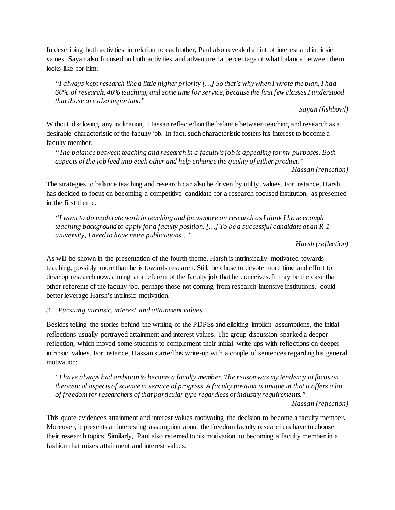In describing both activities in relation to each other, Paul also revealed a hint of interest and intrinsic values. Sayan also focused on both activities and adventured a percentage of what balance between them looks like for him:

*"I always kept research like a little higher priority […] So that's why when I wrote the plan, I had 60% of research, 40% teaching, and some time for service, because the first few classes I understood that those are also important."*

*Sayan (fishbowl)*

Without disclosing any inclination, Hassan reflected on the balance between teaching and research as a desirable characteristic of the faculty job. In fact, such characteristic fosters his interest to become a faculty member.

*"The balance between teaching and research in a faculty's job is appealing for my purposes. Both aspects of the job feed into each other and help enhance the quality of either product."*

*Hassan (reflection)*

The strategies to balance teaching and research can also be driven by utility values. For instance, Harsh has decided to focus on becoming a competitive candidate for a research-focused institution, as presented in the first theme.

*"I want to do moderate work in teaching and focus more on research as I think I have enough teaching background to apply for a faculty position. […] To be a successful candidate at an R-1 university, I need to have more publications…"*

*Harsh (reflection)*

As will be shown in the presentation of the fourth theme, Harsh is intrinsically motivated towards teaching, possibly more than he is towards research. Still, he chose to devote more time and effort to develop research now, aiming at a referent of the faculty job that he conceives. It may be the case that other referents of the faculty job, perhaps those not coming from research-intensive institutions, could better leverage Harsh's intrinsic motivation.

### *3. Pursuing intrinsic, interest, and attainment values*

Besides telling the stories behind the writing of the PDPSs and eliciting implicit assumptions, the initial reflections usually portrayed attainment and interest values. The group discussion sparked a deeper reflection, which moved some students to complement their initial write-ups with reflections on deeper intrinsic values. For instance, Hassan started his write-up with a couple of sentences regarding his general motivation:

*"I have always had ambition to become a faculty member. The reason was my tendency to focus on theoretical aspects of science in service of progress.A faculty position is unique in that it offers a lot of freedom for researchers of that particular type regardless of industry requirements."*

*Hassan (reflection)*

This quote evidences attainment and interest values motivating the decision to become a faculty member. Moreover, it presents an interesting assumption about the freedom faculty researchers have to choose their research topics. Similarly, Paul also referred to his motivation to becoming a faculty member in a fashion that mixes attainment and interest values.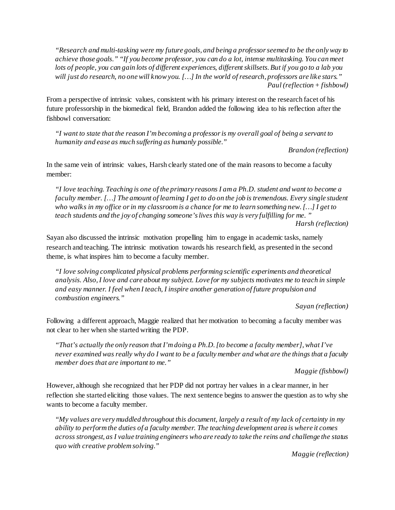*"Research and multi-tasking were my future goals, and being a professor seemed to be the only way to achieve those goals." "If you become professor, you can do a lot, intense multitasking. You can meet lots of people, you can gain lots of different experiences, different skillsets. But if you go to a lab you will just do research, no one will know you. […] In the world of research, professors are like stars." Paul (reflection+ fishbowl)*

From a perspective of intrinsic values, consistent with his primary interest on the research facet of his future professorship in the biomedical field, Brandon added the following idea to his reflection after the fishbowl conversation:

*"I want to state that the reason I'mbecoming a professor is my overall goal of being a servant to humanity and ease as much suffering as humanly possible."*

*Brandon (reflection)*

In the same vein of intrinsic values, Harsh clearly stated one of the main reasons to become a faculty member:

*"I love teaching. Teaching is one of the primary reasons I am a Ph.D. student and want to become a faculty member. […] The amount of learning I get to do on the job is tremendous. Every single student who walks in my office or in my classroom is a chance for me to learn something new.[…] I get to teach students and the joy of changing someone's lives this way is very fulfilling for me. " Harsh (reflection)*

Sayan also discussed the intrinsic motivation propelling him to engage in academic tasks, namely research and teaching. The intrinsic motivation towards his research field, as presented in the second theme, is what inspires him to become a faculty member.

*"I love solving complicated physical problems performing scientific experiments and theoretical analysis. Also, I love and care about my subject. Love for my subjects motivates me to teach in simple and easy manner. I feel when I teach, I inspire another generation of future propulsion and combustion engineers."* 

*Sayan (reflection)*

Following a different approach, Maggie realized that her motivation to becoming a faculty member was not clear to her when she started writing the PDP.

*"That's actually the only reason that I'm doing a Ph.D.[to become a faculty member], what I've never examined was really why do I want to be a faculty member and what are the things that a faculty member does that are important to me."*

*Maggie (fishbowl)*

However, although she recognized that her PDP did not portray her values in a clear manner, in her reflection she started eliciting those values. The next sentence begins to answer the question as to why she wants to become a faculty member.

*"My values are very muddled throughout this document, largely a result of my lack of certainty in my ability to perform the duties of a faculty member. The teaching development area is where it comes across strongest, as I value training engineers who are ready to take the reins and challenge the status quo with creative problem solving."*

*Maggie (reflection)*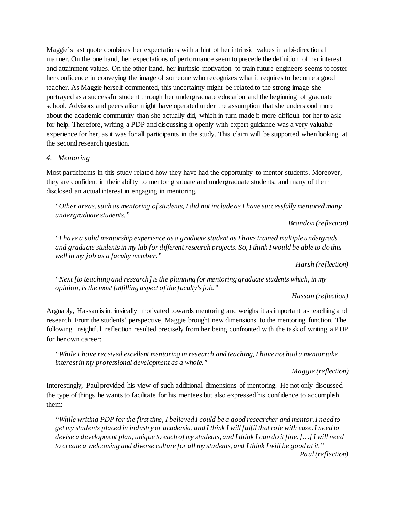Maggie's last quote combines her expectations with a hint of her intrinsic values in a bi-directional manner. On the one hand, her expectations of performance seem to precede the definition of her interest and attainment values. On the other hand, her intrinsic motivation to train future engineers seems to foster her confidence in conveying the image of someone who recognizes what it requires to become a good teacher. As Maggie herself commented, this uncertainty might be related to the strong image she portrayed as a successful student through her undergraduate education and the beginning of graduate school. Advisors and peers alike might have operated under the assumption that she understood more about the academic community than she actually did, which in turn made it more difficult for her to ask for help. Therefore, writing a PDP and discussing it openly with expert guidance was a very valuable experience for her, as it was for all participants in the study. This claim will be supported when looking at the second research question.

### *4. Mentoring*

Most participants in this study related how they have had the opportunity to mentor students. Moreover, they are confident in their ability to mentor graduate and undergraduate students, and many of them disclosed an actual interest in engaging in mentoring.

*"Other areas, such as mentoring of students, I did not include as I have successfully mentored many undergraduate students."*

*Brandon (reflection)*

*"I have a solid mentorship experience as a graduate student as I have trained multiple undergrads and graduate students in my lab for different research projects. So, I think I would be able to do this well in my job as a faculty member."*

*Harsh (reflection)*

*"Next [to teaching and research] is the planning for mentoring graduate students which, in my opinion, is the most fulfilling aspect of the faculty's job."*

*Hassan (reflection)*

Arguably, Hassan is intrinsically motivated towards mentoring and weighs it as important as teaching and research. From the students' perspective, Maggie brought new dimensions to the mentoring function. The following insightful reflection resulted precisely from her being confronted with the task of writing a PDP for her own career:

*"While I have received excellent mentoring in research and teaching, I have not had a mentor take interest in my professional development as a whole."*

*Maggie (reflection)*

Interestingly, Paul provided his view of such additional dimensions of mentoring. He not only discussed the type of things he wants to facilitate for his mentees but also expressed his confidence to accomplish them:

*"While writing PDP for the first time, I believed I could be a good researcher and mentor.I need to get my students placed in industry or academia, and I think I will fulfil that role with ease. I need to devise a development plan, unique to each of my students, and I think I can do it fine. […] I will need to create a welcoming and diverse culture for all my students, and I think I will be good at it." Paul (reflection)*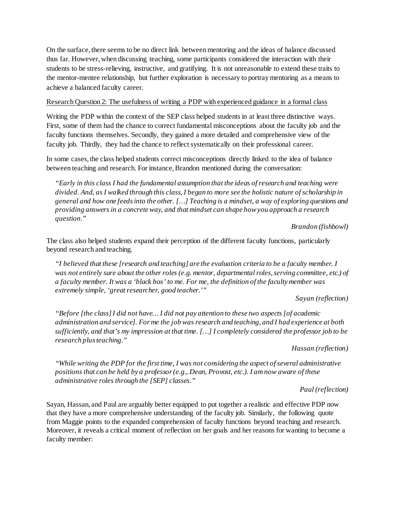On the surface, there seems to be no direct link between mentoring and the ideas of balance discussed thus far. However, when discussing teaching, some participants considered the interaction with their students to be stress-relieving, instructive, and gratifying. It is not unreasonable to extend these traits to the mentor-mentee relationship, but further exploration is necessary to portray mentoring as a means to achieve a balanced faculty career.

### Research Question 2: The usefulness of writing a PDP with experienced guidance in a formal class

Writing the PDP within the context of the SEP class helped students in at least three distinctive ways. First, some of them had the chance to correct fundamental misconceptions about the faculty job and the faculty functions themselves. Secondly, they gained a more detailed and comprehensive view of the faculty job. Thirdly, they had the chance to reflect systematically on their professional career.

In some cases, the class helped students correct misconceptions directly linked to the idea of balance between teaching and research. For instance, Brandon mentioned during the conversation:

*"Early in this class I had the fundamental assumption that the ideas of research and teaching were divided. And, as I walked through this class, I began to more see the holistic nature of scholarship in general and how one feeds into the other. […] Teaching is a mindset, a way of exploring questions and providing answers in a concrete way, and that mindset can shape how you approach a research question."* 

*Brandon (fishbowl)*

The class also helped students expand their perception of the different faculty functions, particularly beyond research and teaching.

*"I believed that these [research and teaching] are the evaluation criteria to be a faculty member. I was not entirely sure about the other roles (e.g. mentor, departmental roles, serving committee, etc.) of a faculty member. It was a 'black box' to me. For me, the definition of the faculty member was extremely simple, 'great researcher, good teacher.'"*

*Sayan (reflection)*

*"Before [the class] I did not have… I did not pay attention to these two aspects [of academic administration and service]. For me the job was research and teaching, and I had experience at both sufficiently, and that's my impression at that time. […] I completely considered the professor job to be research plus teaching."*

*Hassan (reflection)*

*"While writing the PDP for the first time, I was not considering the aspect of several administrative positions that can be held by a professor (e.g., Dean, Provost, etc.). I am now aware of these administrative roles through the [SEP] classes."*

### *Paul (reflection)*

Sayan, Hassan, and Paul are arguably better equipped to put together a realistic and effective PDP now that they have a more comprehensive understanding of the faculty job. Similarly, the following quote from Maggie points to the expanded comprehension of faculty functions beyond teaching and research. Moreover, it reveals a critical moment of reflection on her goals and her reasons for wanting to become a faculty member: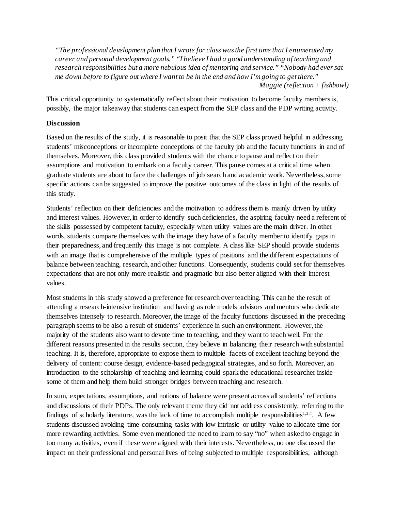*"The professional development plan that I wrote for class was the first time that I enumerated my career and personal development goals." "I believe I had a good understanding of teaching and research responsibilities but a more nebulous idea of mentoring and service." "Nobody had ever sat me down before to figure out where I want to be in the end and how I'm going to get there." Maggie (reflection + fishbowl)*

This critical opportunity to systematically reflect about their motivation to become faculty members is, possibly, the major takeaway that students can expect from the SEP class and the PDP writing activity.

### **Discussion**

Based on the results of the study, it is reasonable to posit that the SEP class proved helpful in addressing students' misconceptions or incomplete conceptions of the faculty job and the faculty functions in and of themselves. Moreover, this class provided students with the chance to pause and reflect on their assumptions and motivation to embark on a faculty career. This pause comes at a critical time when graduate students are about to face the challenges of job search and academic work. Nevertheless, some specific actions can be suggested to improve the positive outcomes of the class in light of the results of this study.

Students' reflection on their deficiencies and the motivation to address them is mainly driven by utility and interest values. However, in order to identify such deficiencies, the aspiring faculty need a referent of the skills possessed by competent faculty, especially when utility values are the main driver. In other words, students compare themselves with the image they have of a faculty member to identify gaps in their preparedness, and frequently this image is not complete. A class like SEP should provide students with an image that is comprehensive of the multiple types of positions and the different expectations of balance between teaching, research, and other functions. Consequently, students could set for themselves expectations that are not only more realistic and pragmatic but also better aligned with their interest values.

Most students in this study showed a preference for research over teaching. This can be the result of attending a research-intensive institution and having as role models advisors and mentors who dedicate themselves intensely to research. Moreover, the image of the faculty functions discussed in the preceding paragraph seems to be also a result of students' experience in such an environment. However, the majority of the students also want to devote time to teaching, and they want to teach well. For the different reasons presented in the results section, they believe in balancing their research with substantial teaching. It is, therefore, appropriate to expose them to multiple facets of excellent teaching beyond the delivery of content: course design, evidence-based pedagogical strategies, and so forth. Moreover, an introduction to the scholarship of teaching and learning could spark the educational researcher inside some of them and help them build stronger bridges between teaching and research.

In sum, expectations, assumptions, and notions of balance were present across all students' reflections and discussions of their PDPs. The only relevant theme they did not address consistently, referring to the findings of scholarly literature, was the lack of time to accomplish multiple responsibilities<sup>1,3,4</sup>. A few students discussed avoiding time-consuming tasks with low intrinsic or utility value to allocate time for more rewarding activities. Some even mentioned the need to learn to say "no" when asked to engage in too many activities, even if these were aligned with their interests. Nevertheless, no one discussed the impact on their professional and personal lives of being subjected to multiple responsibilities, although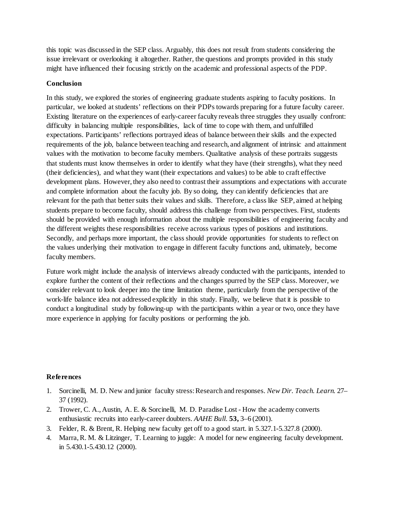this topic was discussed in the SEP class. Arguably, this does not result from students considering the issue irrelevant or overlooking it altogether. Rather, the questions and prompts provided in this study might have influenced their focusing strictly on the academic and professional aspects of the PDP.

### **Conclusion**

In this study, we explored the stories of engineering graduate students aspiring to faculty positions. In particular, we looked at students' reflections on their PDPs towards preparing for a future faculty career. Existing literature on the experiences of early-career faculty reveals three struggles they usually confront: difficulty in balancing multiple responsibilities, lack of time to cope with them, and unfulfilled expectations. Participants' reflections portrayed ideas of balance between their skills and the expected requirements of the job, balance between teaching and research, and alignment of intrinsic and attainment values with the motivation to become faculty members. Qualitative analysis of these portraits suggests that students must know themselves in order to identify what they have (their strengths), what they need (their deficiencies), and what they want (their expectations and values) to be able to craft effective development plans. However, they also need to contrast their assumptions and expectations with accurate and complete information about the faculty job. By so doing, they can identify deficiencies that are relevant for the path that better suits their values and skills. Therefore, a class like SEP, aimed at helping students prepare to become faculty, should address this challenge from two perspectives. First, students should be provided with enough information about the multiple responsibilities of engineering faculty and the different weights these responsibilities receive across various types of positions and institutions. Secondly, and perhaps more important, the class should provide opportunities for students to reflect on the values underlying their motivation to engage in different faculty functions and, ultimately, become faculty members.

Future work might include the analysis of interviews already conducted with the participants, intended to explore further the content of their reflections and the changes spurred by the SEP class. Moreover, we consider relevant to look deeper into the time limitation theme, particularly from the perspective of the work-life balance idea not addressed explicitly in this study. Finally, we believe that it is possible to conduct a longitudinal study by following-up with the participants within a year or two, once they have more experience in applying for faculty positions or performing the job.

#### **References**

- 1. Sorcinelli, M. D. New and junior faculty stress: Research and responses. *New Dir. Teach. Learn.* 27– 37 (1992).
- 2. Trower, C. A., Austin, A. E. & Sorcinelli, M. D. Paradise Lost How the academy converts enthusiastic recruits into early-career doubters. *AAHE Bull.* **53,** 3–6 (2001).
- 3. Felder, R. & Brent, R. Helping new faculty get off to a good start. in 5.327.1-5.327.8 (2000).
- 4. Marra, R. M. & Litzinger, T. Learning to juggle: A model for new engineering faculty development. in 5.430.1-5.430.12 (2000).